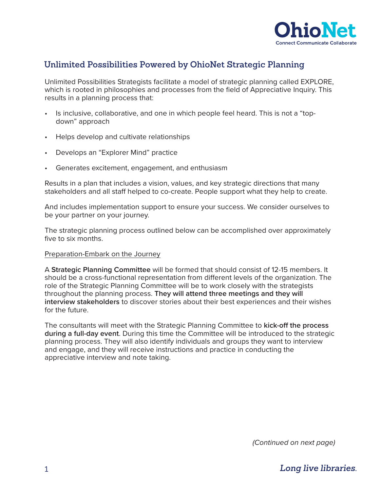

# **Unlimited Possibilities Powered by OhioNet Strategic Planning**

Unlimited Possibilities Strategists facilitate a model of strategic planning called EXPLORE, which is rooted in philosophies and processes from the field of Appreciative Inquiry. This results in a planning process that:

- Is inclusive, collaborative, and one in which people feel heard. This is not a "topdown" approach
- Helps develop and cultivate relationships
- Develops an "Explorer Mind" practice
- Generates excitement, engagement, and enthusiasm

Results in a plan that includes a vision, values, and key strategic directions that many stakeholders and all staff helped to co-create. People support what they help to create.

And includes implementation support to ensure your success. We consider ourselves to be your partner on your journey.

The strategic planning process outlined below can be accomplished over approximately five to six months.

### Preparation-Embark on the Journey

A **Strategic Planning Committee** will be formed that should consist of 12-15 members. It should be a cross-functional representation from different levels of the organization. The role of the Strategic Planning Committee will be to work closely with the strategists throughout the planning process. **They will attend three meetings and they will interview stakeholders** to discover stories about their best experiences and their wishes for the future.

The consultants will meet with the Strategic Planning Committee to **kick-off the process during a full-day event**. During this time the Committee will be introduced to the strategic planning process. They will also identify individuals and groups they want to interview and engage, and they will receive instructions and practice in conducting the appreciative interview and note taking.

*(Continued on next page)*

*Long live libraries.*